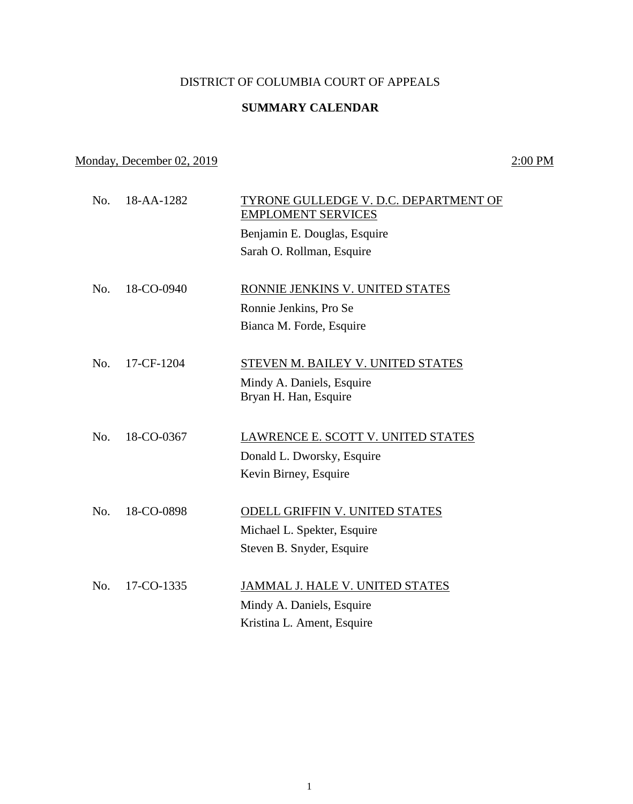## DISTRICT OF COLUMBIA COURT OF APPEALS

## **SUMMARY CALENDAR**

Monday, December 02, 2019 2:00 PM

No. 18-AA-1282 TYRONE GULLEDGE V. D.C. DEPARTMENT OF EMPLOMENT SERVICES Benjamin E. Douglas, Esquire Sarah O. Rollman, Esquire No. 18-CO-0940 RONNIE JENKINS V. UNITED STATES Ronnie Jenkins, Pro Se Bianca M. Forde, Esquire No. 17-CF-1204 STEVEN M. BAILEY V. UNITED STATES Mindy A. Daniels, Esquire Bryan H. Han, Esquire No. 18-CO-0367 LAWRENCE E. SCOTT V. UNITED STATES Donald L. Dworsky, Esquire Kevin Birney, Esquire No. 18-CO-0898 ODELL GRIFFIN V. UNITED STATES Michael L. Spekter, Esquire Steven B. Snyder, Esquire No. 17-CO-1335 JAMMAL J. HALE V. UNITED STATES Mindy A. Daniels, Esquire Kristina L. Ament, Esquire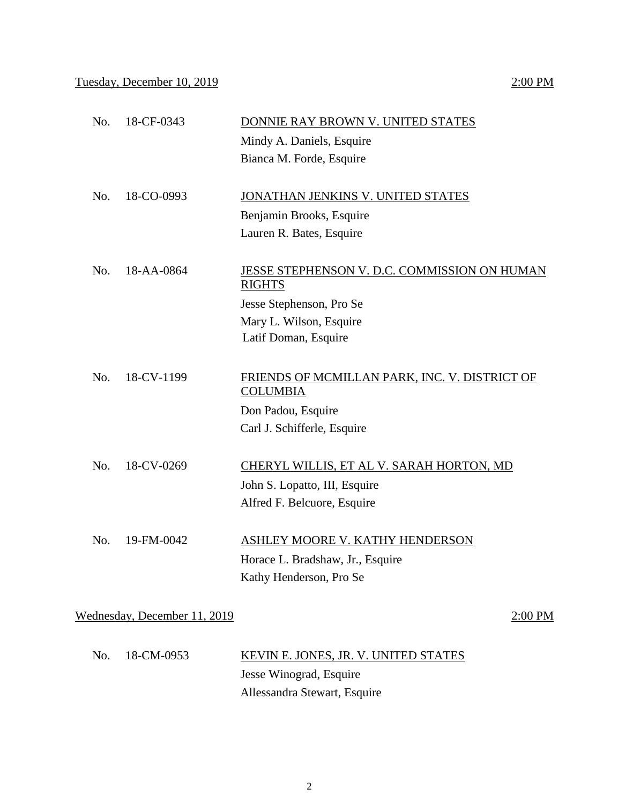| Bianca M. Forde, Esquire<br>No.<br>18-CO-0993<br>JONATHAN JENKINS V. UNITED STATES<br>Benjamin Brooks, Esquire<br>Lauren R. Bates, Esquire<br>No.<br>18-AA-0864<br>JESSE STEPHENSON V. D.C. COMMISSION ON HUMAN<br><b>RIGHTS</b><br>Jesse Stephenson, Pro Se<br>Mary L. Wilson, Esquire<br>Latif Doman, Esquire<br>No.<br>18-CV-1199<br>FRIENDS OF MCMILLAN PARK, INC. V. DISTRICT OF<br><b>COLUMBIA</b><br>Don Padou, Esquire<br>Carl J. Schifferle, Esquire |  |
|---------------------------------------------------------------------------------------------------------------------------------------------------------------------------------------------------------------------------------------------------------------------------------------------------------------------------------------------------------------------------------------------------------------------------------------------------------------|--|
|                                                                                                                                                                                                                                                                                                                                                                                                                                                               |  |
|                                                                                                                                                                                                                                                                                                                                                                                                                                                               |  |
|                                                                                                                                                                                                                                                                                                                                                                                                                                                               |  |
|                                                                                                                                                                                                                                                                                                                                                                                                                                                               |  |
|                                                                                                                                                                                                                                                                                                                                                                                                                                                               |  |
|                                                                                                                                                                                                                                                                                                                                                                                                                                                               |  |
|                                                                                                                                                                                                                                                                                                                                                                                                                                                               |  |
|                                                                                                                                                                                                                                                                                                                                                                                                                                                               |  |
|                                                                                                                                                                                                                                                                                                                                                                                                                                                               |  |
|                                                                                                                                                                                                                                                                                                                                                                                                                                                               |  |
|                                                                                                                                                                                                                                                                                                                                                                                                                                                               |  |
|                                                                                                                                                                                                                                                                                                                                                                                                                                                               |  |
|                                                                                                                                                                                                                                                                                                                                                                                                                                                               |  |
|                                                                                                                                                                                                                                                                                                                                                                                                                                                               |  |
|                                                                                                                                                                                                                                                                                                                                                                                                                                                               |  |
| No.<br>18-CV-0269<br><b>CHERYL WILLIS, ET AL V. SARAH HORTON, MD</b>                                                                                                                                                                                                                                                                                                                                                                                          |  |
| John S. Lopatto, III, Esquire                                                                                                                                                                                                                                                                                                                                                                                                                                 |  |
| Alfred F. Belcuore, Esquire                                                                                                                                                                                                                                                                                                                                                                                                                                   |  |
| No.<br>19-FM-0042<br>ASHLEY MOORE V. KATHY HENDERSON                                                                                                                                                                                                                                                                                                                                                                                                          |  |
| Horace L. Bradshaw, Jr., Esquire                                                                                                                                                                                                                                                                                                                                                                                                                              |  |
| Kathy Henderson, Pro Se                                                                                                                                                                                                                                                                                                                                                                                                                                       |  |
|                                                                                                                                                                                                                                                                                                                                                                                                                                                               |  |
| Wednesday, December 11, 2019<br>2:00 PM                                                                                                                                                                                                                                                                                                                                                                                                                       |  |

No. 18-CF-0343 DONNIE RAY BROWN V. UNITED STATES

| No. 18-CM-0953 | KEVIN E. JONES, JR. V. UNITED STATES |
|----------------|--------------------------------------|
|                | Jesse Winograd, Esquire              |
|                | Allessandra Stewart, Esquire         |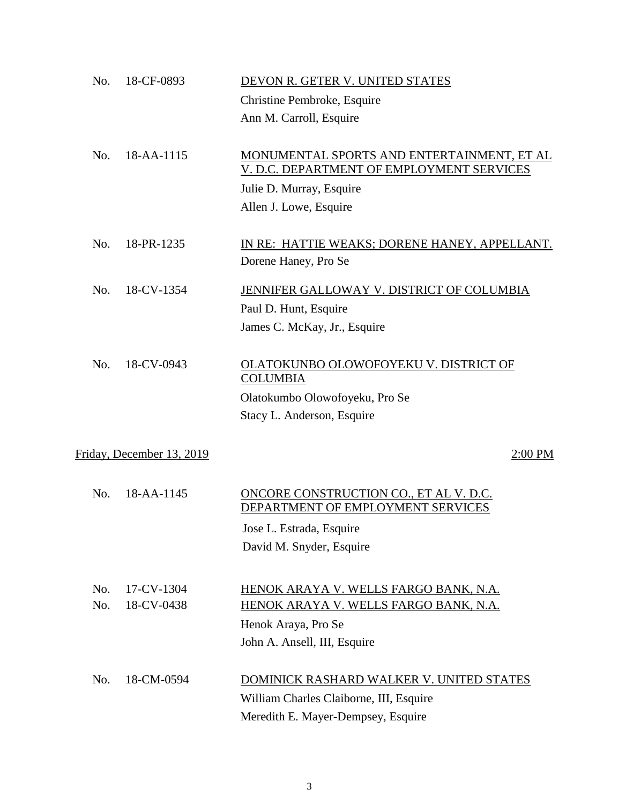| No. | 18-CF-0893                | DEVON R. GETER V. UNITED STATES                                             |         |
|-----|---------------------------|-----------------------------------------------------------------------------|---------|
|     |                           | Christine Pembroke, Esquire                                                 |         |
|     |                           | Ann M. Carroll, Esquire                                                     |         |
|     |                           |                                                                             |         |
| No. | 18-AA-1115                | MONUMENTAL SPORTS AND ENTERTAINMENT, ET AL                                  |         |
|     |                           | V. D.C. DEPARTMENT OF EMPLOYMENT SERVICES                                   |         |
|     |                           | Julie D. Murray, Esquire                                                    |         |
|     |                           | Allen J. Lowe, Esquire                                                      |         |
| No. | 18-PR-1235                | IN RE: HATTIE WEAKS; DORENE HANEY, APPELLANT.                               |         |
|     |                           | Dorene Haney, Pro Se                                                        |         |
|     |                           |                                                                             |         |
| No. | 18-CV-1354                | JENNIFER GALLOWAY V. DISTRICT OF COLUMBIA                                   |         |
|     |                           | Paul D. Hunt, Esquire                                                       |         |
|     |                           | James C. McKay, Jr., Esquire                                                |         |
| No. | 18-CV-0943                | OLATOKUNBO OLOWOFOYEKU V. DISTRICT OF                                       |         |
|     |                           | <b>COLUMBIA</b>                                                             |         |
|     |                           | Olatokumbo Olowofoyeku, Pro Se                                              |         |
|     |                           | Stacy L. Anderson, Esquire                                                  |         |
|     |                           |                                                                             |         |
|     | Friday, December 13, 2019 |                                                                             | 2:00 PM |
| No. | 18-AA-1145                | ONCORE CONSTRUCTION CO., ET AL V. D.C.<br>DEPARTMENT OF EMPLOYMENT SERVICES |         |
|     |                           | Jose L. Estrada, Esquire                                                    |         |
|     |                           | David M. Snyder, Esquire                                                    |         |
|     |                           |                                                                             |         |
| No. | 17-CV-1304                | HENOK ARAYA V. WELLS FARGO BANK, N.A.                                       |         |
| No. | 18-CV-0438                | HENOK ARAYA V. WELLS FARGO BANK, N.A.                                       |         |
|     |                           | Henok Araya, Pro Se                                                         |         |
|     |                           | John A. Ansell, III, Esquire                                                |         |
| No. | 18-CM-0594                | DOMINICK RASHARD WALKER V. UNITED STATES                                    |         |
|     |                           | William Charles Claiborne, III, Esquire                                     |         |
|     |                           | Meredith E. Mayer-Dempsey, Esquire                                          |         |
|     |                           |                                                                             |         |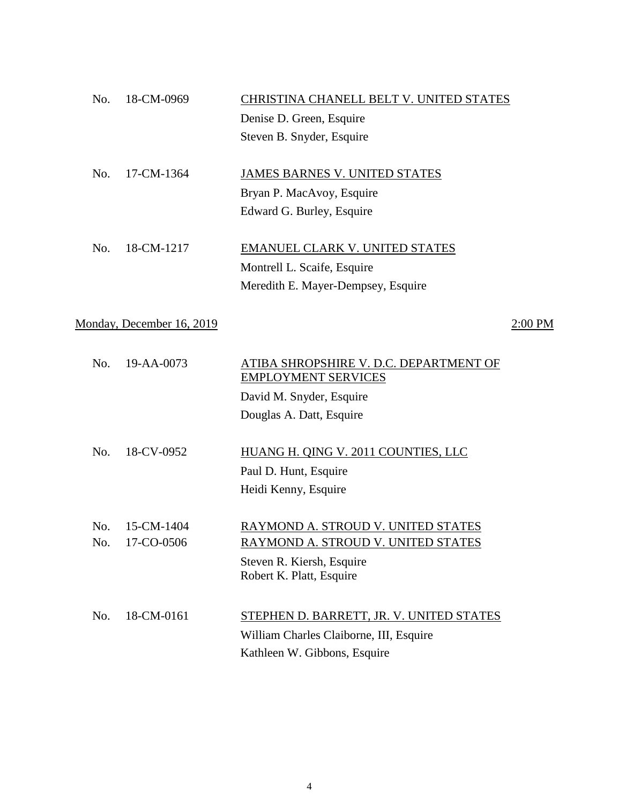| No. | 18-CM-0969                | CHRISTINA CHANELL BELT V. UNITED STATES                              |         |
|-----|---------------------------|----------------------------------------------------------------------|---------|
|     |                           | Denise D. Green, Esquire                                             |         |
|     |                           | Steven B. Snyder, Esquire                                            |         |
|     |                           |                                                                      |         |
| No. | 17-CM-1364                | <b>JAMES BARNES V. UNITED STATES</b>                                 |         |
|     |                           | Bryan P. MacAvoy, Esquire                                            |         |
|     |                           | Edward G. Burley, Esquire                                            |         |
|     |                           |                                                                      |         |
| No. | 18-CM-1217                | EMANUEL CLARK V. UNITED STATES                                       |         |
|     |                           | Montrell L. Scaife, Esquire                                          |         |
|     |                           | Meredith E. Mayer-Dempsey, Esquire                                   |         |
|     |                           |                                                                      |         |
|     | Monday, December 16, 2019 |                                                                      | 2:00 PM |
|     |                           |                                                                      |         |
| No. | 19-AA-0073                | ATIBA SHROPSHIRE V. D.C. DEPARTMENT OF<br><b>EMPLOYMENT SERVICES</b> |         |
|     |                           | David M. Snyder, Esquire                                             |         |
|     |                           | Douglas A. Datt, Esquire                                             |         |
|     |                           |                                                                      |         |
| No. | 18-CV-0952                | HUANG H. QING V. 2011 COUNTIES, LLC                                  |         |

Paul D. Hunt, Esquire Heidi Kenny, Esquire

No. 15-CM-1404 RAYMOND A. STROUD V. UNITED STATES No. 17-CO-0506 RAYMOND A. STROUD V. UNITED STATES Steven R. Kiersh, Esquire Robert K. Platt, Esquire

| No. 18-CM-0161 | STEPHEN D. BARRETT, JR. V. UNITED STATES |
|----------------|------------------------------------------|
|                | William Charles Claiborne, III, Esquire  |
|                | Kathleen W. Gibbons, Esquire             |